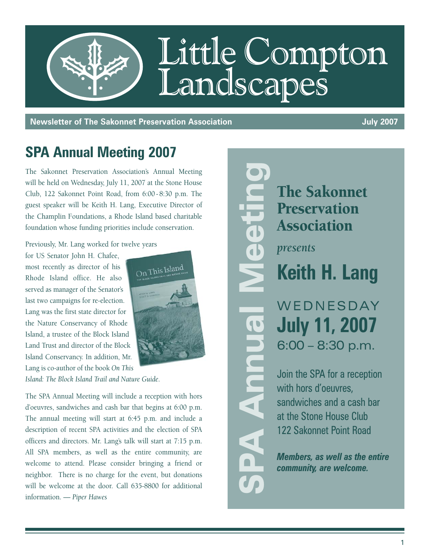

**Newsletter of The Sakonnet Preservation Association July 2007** 

### **SPA Annual Meeting 2007**

The Sakonnet Preservation Association's Annual Meeting will be held on Wednesday, July 11, 2007 at the Stone House Club, 122 Sakonnet Point Road, from 6:00 - 8:30 p.m. The guest speaker will be Keith H. Lang, Executive Director of the Champlin Foundations, a Rhode Island based charitable foundation whose funding priorities include conservation.

Previously, Mr. Lang worked for twelve years

for US Senator John H. Chafee, most recently as director of his Rhode Island office. He also served as manager of the Senator's last two campaigns for re-election. Lang was the first state director for the Nature Conservancy of Rhode Island, a trustee of the Block Island Land Trust and director of the Block Island Conservancy. In addition, Mr. Lang is co-author of the book *On This*



*Island: The Block Island Trail and Nature Guide*.

The SPA Annual Meeting will include a reception with hors d'oeuvres, sandwiches and cash bar that begins at 6:00 p.m. The annual meeting will start at 6:45 p.m. and include a description of recent SPA activities and the election of SPA officers and directors. Mr. Lang's talk will start at 7:15 p.m. All SPA members, as well as the entire community, are welcome to attend. Please consider bringing a friend or neighbor. There is no charge for the event, but donations will be welcome at the door. Call 635-8800 for additional information. — *Piper Hawes*

The Sakonnet **Preservation** Association *presents* **Keith H. Lang** WEDNESDAY **July 11, 2007** 6:00 – 8:30 p.m. Join the SPA for a reception with hors d'oeuvres, sandwiches and a cash bar at the Stone House Club 122 Sakonnet Point Road *Members, as well as the entire*  SPA Annual Meeting

**Hold** 

*community, are welcome.*

1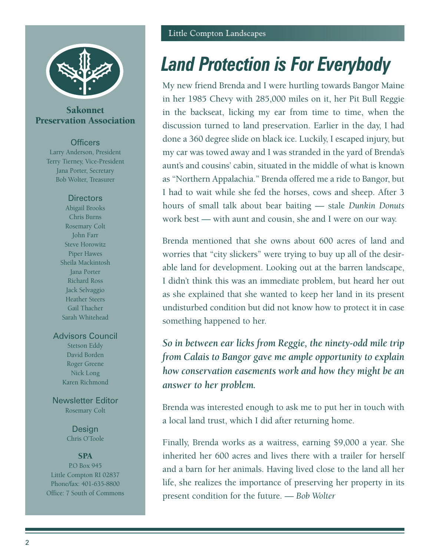

#### Sakonnet Preservation Association

#### **Officers**

Larry Anderson, President Terry Tierney, Vice-President Jana Porter, Secretary Bob Wolter, Treasurer

#### **Directors**

Abigail Brooks Chris Burns Rosemary Colt John Farr Steve Horowitz Piper Hawes Sheila Mackintosh Jana Porter Richard Ross Jack Selvaggio Heather Steers Gail Thacher Sarah Whitehead

#### Advisors Council

Stetson Eddy David Borden Roger Greene Nick Long Karen Richmond

Newsletter Editor Rosemary Colt

> **Design** Chris O'Toole

#### **SPA**

P.O Box 945 Little Compton RI 02837 Phone/fax: 401-635-8800 Office: 7 South of Commons

# *Land Protection is For Everybody*

My new friend Brenda and I were hurtling towards Bangor Maine in her 1985 Chevy with 285,000 miles on it, her Pit Bull Reggie in the backseat, licking my ear from time to time, when the discussion turned to land preservation. Earlier in the day, I had done a 360 degree slide on black ice. Luckily, I escaped injury, but my car was towed away and I was stranded in the yard of Brenda's aunt's and cousins' cabin, situated in the middle of what is known as "Northern Appalachia." Brenda offered me a ride to Bangor, but I had to wait while she fed the horses, cows and sheep. After 3 hours of small talk about bear baiting — stale *Dunkin Donuts* work best — with aunt and cousin, she and I were on our way.

Brenda mentioned that she owns about 600 acres of land and worries that "city slickers" were trying to buy up all of the desirable land for development. Looking out at the barren landscape, I didn't think this was an immediate problem, but heard her out as she explained that she wanted to keep her land in its present undisturbed condition but did not know how to protect it in case something happened to her.

*So in between ear licks from Reggie, the ninety-odd mile trip from Calais to Bangor gave me ample opportunity to explain how conservation easements work and how they might be an answer to her problem.*

Brenda was interested enough to ask me to put her in touch with a local land trust, which I did after returning home.

Finally, Brenda works as a waitress, earning \$9,000 a year. She inherited her 600 acres and lives there with a trailer for herself and a barn for her animals. Having lived close to the land all her life, she realizes the importance of preserving her property in its present condition for the future. — *Bob Wolter*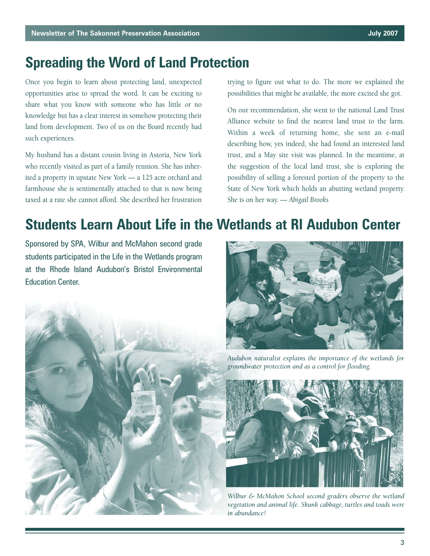### **Spreading the Word of Land Protection**

Once you begin to learn about protecting land, unexpected opportunities arise to spread the word. It can be exciting to share what you know with someone who has little or no knowledge but has a clear interest in somehow protecting their land from development. Two of us on the Board recently had such experiences.

My husband has a distant cousin living in Astoria, New York who recently visited as part of a family reunion. She has inherited a property in upstate New York — a 125 acre orchard and farmhouse she is sentimentally attached to that is now being taxed at a rate she cannot afford. She described her frustration trying to figure out what to do. The more we explained the possibilities that might be available, the more excited she got.

On our recommendation, she went to the national Land Trust Alliance website to find the nearest land trust to the farm. Within a week of returning home, she sent an e-mail describing how, yes indeed, she had found an interested land trust, and a May site visit was planned. In the meantime, at the suggestion of the local land trust, she is exploring the possibility of selling a forested portion of the property to the State of New York which holds an abutting wetland property. She is on her way. — *Abigail Brooks*

### **Students Learn About Life in the Wetlands at RI Audubon Center**

Sponsored by SPA, Wilbur and McMahon second grade students participated in the Life in the Wetlands program at the Rhode Island Audubon's Bristol Environmental Education Center.





*Audubon naturalist explains the importance of the wetlands for groundwater protection and as a control for flooding.*



*Wilbur & McMahon School second graders observe the wetland vegetation and animal life. Skunk cabbage, turtles and toads were in abundance!*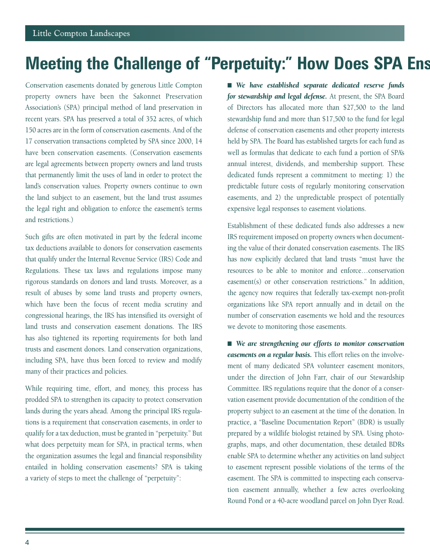# **Meeting the Challenge of "Perpetuity:" How Does SPA Ens**

Conservation easements donated by generous Little Compton property owners have been the Sakonnet Preservation Association's (SPA) principal method of land preservation in recent years. SPA has preserved a total of 352 acres, of which 150 acres are in the form of conservation easements. And of the 17 conservation transactions completed by SPA since 2000, 14 have been conservation easements. (Conservation easements are legal agreements between property owners and land trusts that permanently limit the uses of land in order to protect the land's conservation values. Property owners continue to own the land subject to an easement, but the land trust assumes the legal right and obligation to enforce the easement's terms and restrictions.)

Such gifts are often motivated in part by the federal income tax deductions available to donors for conservation easements that qualify under the Internal Revenue Service (IRS) Code and Regulations. These tax laws and regulations impose many rigorous standards on donors and land trusts. Moreover, as a result of abuses by some land trusts and property owners, which have been the focus of recent media scrutiny and congressional hearings, the IRS has intensified its oversight of land trusts and conservation easement donations. The IRS has also tightened its reporting requirements for both land trusts and easement donors. Land conservation organizations, including SPA, have thus been forced to review and modify many of their practices and policies.

While requiring time, effort, and money, this process has prodded SPA to strengthen its capacity to protect conservation lands during the years ahead. Among the principal IRS regulations is a requirement that conservation easements, in order to qualify for a tax deduction, must be granted in "perpetuity." But what does perpetuity mean for SPA, in practical terms, when the organization assumes the legal and financial responsibility entailed in holding conservation easements? SPA is taking a variety of steps to meet the challenge of "perpetuity":

■ We have established separate dedicated reserve funds *for stewardship and legal defense.* At present, the SPA Board of Directors has allocated more than \$27,500 to the land stewardship fund and more than \$17,500 to the fund for legal defense of conservation easements and other property interests held by SPA. The Board has established targets for each fund as well as formulas that dedicate to each fund a portion of SPA's annual interest, dividends, and membership support. These dedicated funds represent a commitment to meeting: 1) the predictable future costs of regularly monitoring conservation easements, and 2) the unpredictable prospect of potentially expensive legal responses to easement violations.

Establishment of these dedicated funds also addresses a new IRS requirement imposed on property owners when documenting the value of their donated conservation easements. The IRS has now explicitly declared that land trusts "must have the resources to be able to monitor and enforce…conservation easement(s) or other conservation restrictions." In addition, the agency now requires that federally tax-exempt non-profit organizations like SPA report annually and in detail on the number of conservation easements we hold and the resources we devote to monitoring those easements.

■ We are strengthening our efforts to monitor conservation *easements on a regular basis.* This effort relies on the involvement of many dedicated SPA volunteer easement monitors, under the direction of John Farr, chair of our Stewardship Committee. IRS regulations require that the donor of a conservation easement provide documentation of the condition of the property subject to an easement at the time of the donation. In practice, a "Baseline Documentation Report" (BDR) is usually prepared by a wildlife biologist retained by SPA. Using photographs, maps, and other documentation, these detailed BDRs enable SPA to determine whether any activities on land subject to easement represent possible violations of the terms of the easement. The SPA is committed to inspecting each conservation easement annually, whether a few acres overlooking Round Pond or a 40-acre woodland parcel on John Dyer Road.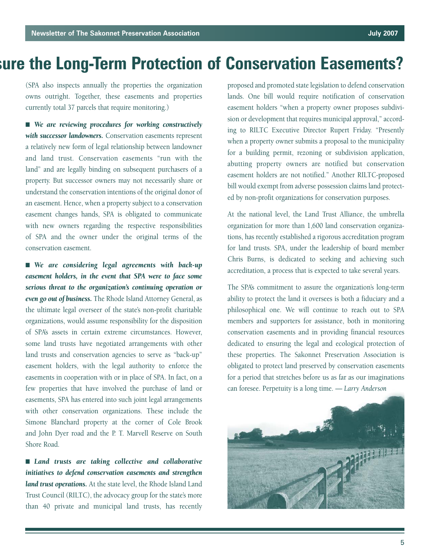# **sure the Long-Term Protection of Conservation Easements?**

(SPA also inspects annually the properties the organization owns outright. Together, these easements and properties currently total 37 parcels that require monitoring.)

■ We are reviewing procedures for working constructively *with successor landowners.* Conservation easements represent a relatively new form of legal relationship between landowner and land trust. Conservation easements "run with the land" and are legally binding on subsequent purchasers of a property. But successor owners may not necessarily share or understand the conservation intentions of the original donor of an easement. Hence, when a property subject to a conservation easement changes hands, SPA is obligated to communicate with new owners regarding the respective responsibilities of SPA and the owner under the original terms of the conservation easement.

■ We are considering legal agreements with back-up *easement holders, in the event that SPA were to face some serious threat to the organization's continuing operation or even go out of business.* The Rhode Island Attorney General, as the ultimate legal overseer of the state's non-profit charitable organizations, would assume responsibility for the disposition of SPA's assets in certain extreme circumstances. However, some land trusts have negotiated arrangements with other land trusts and conservation agencies to serve as "back-up" easement holders, with the legal authority to enforce the easements in cooperation with or in place of SPA. In fact, on a few properties that have involved the purchase of land or easements, SPA has entered into such joint legal arrangements with other conservation organizations. These include the Simone Blanchard property at the corner of Cole Brook and John Dyer road and the P. T. Marvell Reserve on South Shore Road.

■ *Land trusts are taking collective and collaborative initiatives to defend conservation easements and strengthen land trust operations.* At the state level, the Rhode Island Land Trust Council (RILTC), the advocacy group for the state's more than 40 private and municipal land trusts, has recently

proposed and promoted state legislation to defend conservation lands. One bill would require notification of conservation easement holders "when a property owner proposes subdivision or development that requires municipal approval," according to RILTC Executive Director Rupert Friday. "Presently when a property owner submits a proposal to the municipality for a building permit, rezoning or subdivision application, abutting property owners are notified but conservation easement holders are not notified." Another RILTC-proposed bill would exempt from adverse possession claims land protected by non-profit organizations for conservation purposes.

At the national level, the Land Trust Alliance, the umbrella organization for more than 1,600 land conservation organizations, has recently established a rigorous accreditation program for land trusts. SPA, under the leadership of board member Chris Burns, is dedicated to seeking and achieving such accreditation, a process that is expected to take several years.

The SPA's commitment to assure the organization's long-term ability to protect the land it oversees is both a fiduciary and a philosophical one. We will continue to reach out to SPA members and supporters for assistance, both in monitoring conservation easements and in providing financial resources dedicated to ensuring the legal and ecological protection of these properties. The Sakonnet Preservation Association is obligated to protect land preserved by conservation easements for a period that stretches before us as far as our imaginations can foresee. Perpetuity is a long time. *— Larry Anderson*

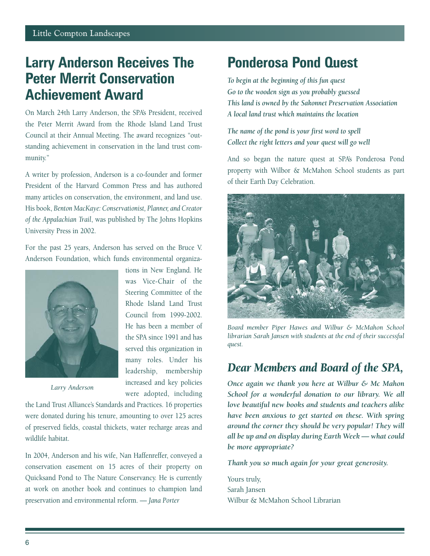### **Larry Anderson Receives The Peter Merrit Conservation Achievement Award**

On March 24th Larry Anderson, the SPA's President, received the Peter Merrit Award from the Rhode Island Land Trust Council at their Annual Meeting. The award recognizes "outstanding achievement in conservation in the land trust community."

A writer by profession, Anderson is a co-founder and former President of the Harvard Common Press and has authored many articles on conservation, the environment, and land use. His book, *Benton MacKaye: Conservationist, Planner, and Creator of the Appalachian Trail*, was published by The Johns Hopkins University Press in 2002.

For the past 25 years, Anderson has served on the Bruce V. Anderson Foundation, which funds environmental organiza-



tions in New England. He was Vice-Chair of the Steering Committee of the Rhode Island Land Trust Council from 1999-2002. He has been a member of the SPA since 1991 and has served this organization in many roles. Under his leadership, membership increased and key policies were adopted, including

*Larry Anderson*

the Land Trust Alliance's Standards and Practices. 16 properties were donated during his tenure, amounting to over 125 acres of preserved fields, coastal thickets, water recharge areas and wildlife habitat.

In 2004, Anderson and his wife, Nan Haffenreffer, conveyed a conservation easement on 15 acres of their property on Quicksand Pond to The Nature Conservancy. He is currently at work on another book and continues to champion land preservation and environmental reform. — *Jana Porter*

### **Ponderosa Pond Quest**

*To begin at the beginning of this fun quest Go to the wooden sign as you probably guessed This land is owned by the Sakonnet Preservation Association A local land trust which maintains the location*

#### *The name of the pond is your first word to spell Collect the right letters and your quest will go well*

And so began the nature quest at SPA's Ponderosa Pond property with Wilbor & McMahon School students as part of their Earth Day Celebration.



*Board member Piper Hawes and Wilbur & McMahon School librarian Sarah Jansen with students at the end of their successful quest.*

### *Dear Members and Board of the SPA,*

*Once again we thank you here at Wilbur & Mc Mahon School for a wonderful donation to our library. We all love beautiful new books and students and teachers alike have been anxious to get started on these. With spring around the corner they should be very popular! They will all be up and on display during Earth Week — what could be more appropriate?*

*Thank you so much again for your great generosity.*

Yours truly, Sarah Jansen Wilbur & McMahon School Librarian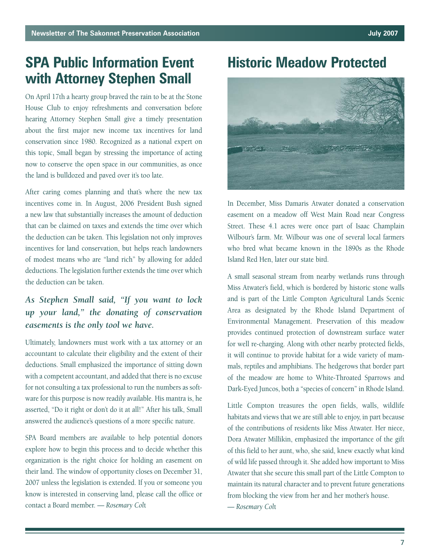### **SPA Public Information Event with Attorney Stephen Small**

On April 17th a hearty group braved the rain to be at the Stone House Club to enjoy refreshments and conversation before hearing Attorney Stephen Small give a timely presentation about the first major new income tax incentives for land conservation since 1980. Recognized as a national expert on this topic, Small began by stressing the importance of acting now to conserve the open space in our communities, as once the land is bulldozed and paved over it's too late.

After caring comes planning and that's where the new tax incentives come in. In August, 2006 President Bush signed a new law that substantially increases the amount of deduction that can be claimed on taxes and extends the time over which the deduction can be taken. This legislation not only improves incentives for land conservation, but helps reach landowners of modest means who are "land rich" by allowing for added deductions. The legislation further extends the time over which the deduction can be taken.

### *As Stephen Small said, "If you want to lock up your land," the donating of conservation easements is the only tool we have.*

Ultimately, landowners must work with a tax attorney or an accountant to calculate their eligibility and the extent of their deductions. Small emphasized the importance of sitting down with a competent accountant, and added that there is no excuse for not consulting a tax professional to run the numbers as software for this purpose is now readily available. His mantra is, he asserted, "Do it right or don't do it at all!" After his talk, Small answered the audience's questions of a more specific nature.

SPA Board members are available to help potential donors explore how to begin this process and to decide whether this organization is the right choice for holding an easement on their land. The window of opportunity closes on December 31, 2007 unless the legislation is extended. If you or someone you know is interested in conserving land, please call the office or contact a Board member. *— Rosemary Col*t

**Historic Meadow Protected**



In December, Miss Damaris Atwater donated a conservation easement on a meadow off West Main Road near Congress Street. These 4.1 acres were once part of Isaac Champlain Wilbour's farm. Mr. Wilbour was one of several local farmers who bred what became known in the 1890s as the Rhode Island Red Hen, later our state bird.

A small seasonal stream from nearby wetlands runs through Miss Atwater's field, which is bordered by historic stone walls and is part of the Little Compton Agricultural Lands Scenic Area as designated by the Rhode Island Department of Environmental Management. Preservation of this meadow provides continued protection of downstream surface water for well re-charging. Along with other nearby protected fields, it will continue to provide habitat for a wide variety of mammals, reptiles and amphibians. The hedgerows that border part of the meadow are home to White-Throated Sparrows and Dark-Eyed Juncos, both a "species of concern" in Rhode Island.

Little Compton treasures the open fields, walls, wildlife habitats and views that we are still able to enjoy, in part because of the contributions of residents like Miss Atwater. Her niece, Dora Atwater Millikin, emphasized the importance of the gift of this field to her aunt, who, she said, knew exactly what kind of wild life passed through it. She added how important to Miss Atwater that she secure this small part of the Little Compton to maintain its natural character and to prevent future generations from blocking the view from her and her mother's house. *— Rosemary Col*t